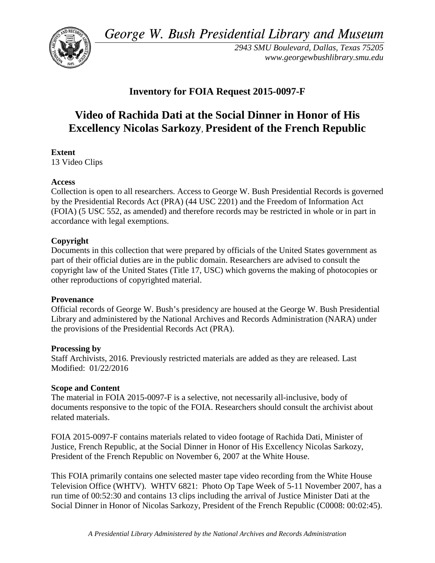*George W. Bush Presidential Library and Museum* 



*2943 SMU Boulevard, Dallas, Texas 75205 <www.georgewbushlibrary.smu.edu>*

# **Inventory for FOIA Request 2015-0097-F**

# **Video of Rachida Dati at the Social Dinner in Honor of His Excellency Nicolas Sarkozy**, **President of the French Republic**

# **Extent**

13 Video Clips

### **Access**

 by the Presidential Records Act (PRA) (44 USC 2201) and the Freedom of Information Act Collection is open to all researchers. Access to George W. Bush Presidential Records is governed (FOIA) (5 USC 552, as amended) and therefore records may be restricted in whole or in part in accordance with legal exemptions.

# **Copyright**

 Documents in this collection that were prepared by officials of the United States government as part of their official duties are in the public domain. Researchers are advised to consult the copyright law of the United States (Title 17, USC) which governs the making of photocopies or other reproductions of copyrighted material.

#### **Provenance**

 Official records of George W. Bush's presidency are housed at the George W. Bush Presidential Library and administered by the National Archives and Records Administration (NARA) under the provisions of the Presidential Records Act (PRA).

#### **Processing by**

 Modified: 01/22/2016 Staff Archivists, 2016. Previously restricted materials are added as they are released. Last

#### **Scope and Content**

The material in FOIA 2015-0097-F is a selective, not necessarily all-inclusive, body of documents responsive to the topic of the FOIA. Researchers should consult the archivist about related materials.

FOIA 2015-0097-F contains materials related to video footage of Rachida Dati, Minister of Justice, French Republic, at the Social Dinner in Honor of His Excellency Nicolas Sarkozy, President of the French Republic on November 6, 2007 at the White House.

 run time of 00:52:30 and contains 13 clips including the arrival of Justice Minister Dati at the This FOIA primarily contains one selected master tape video recording from the White House Television Office (WHTV). WHTV 6821: Photo Op Tape Week of 5-11 November 2007, has a Social Dinner in Honor of Nicolas Sarkozy, President of the French Republic (C0008: 00:02:45).